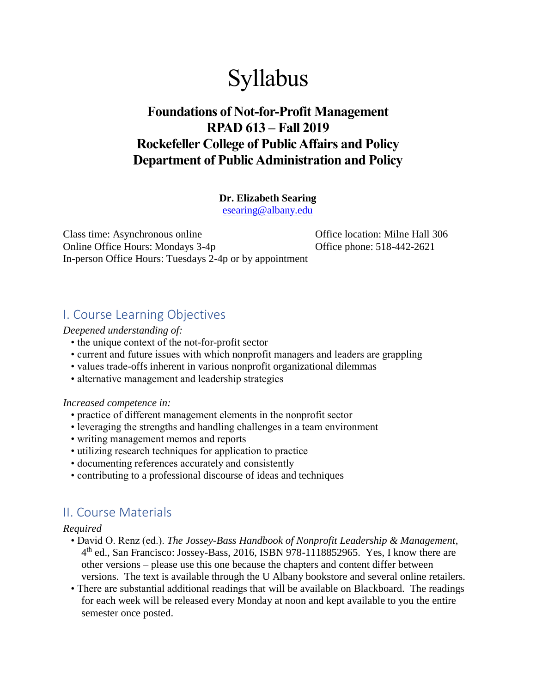# Syllabus

## **Foundations of Not-for-Profit Management RPAD 613 – Fall 2019 Rockefeller College of Public Affairs and Policy Department of Public Administration and Policy**

#### **Dr. Elizabeth Searing**

[esearing@albany.edu](mailto:esearing@albany.edu)

Class time: Asynchronous online Office location: Milne Hall 306 Online Office Hours: Mondays 3-4p Office phone: 518-442-2621 In-person Office Hours: Tuesdays 2-4p or by appointment

## I. Course Learning Objectives

#### *Deepened understanding of:*

- the unique context of the not-for-profit sector
- current and future issues with which nonprofit managers and leaders are grappling
- values trade-offs inherent in various nonprofit organizational dilemmas
- alternative management and leadership strategies

#### *Increased competence in:*

- practice of different management elements in the nonprofit sector
- leveraging the strengths and handling challenges in a team environment
- writing management memos and reports
- utilizing research techniques for application to practice
- documenting references accurately and consistently
- contributing to a professional discourse of ideas and techniques

## II. Course Materials

#### *Required*

- David O. Renz (ed.). *The Jossey-Bass Handbook of Nonprofit Leadership & Management*, 4 th ed., San Francisco: Jossey-Bass, 2016, ISBN 978-1118852965. Yes, I know there are other versions – please use this one because the chapters and content differ between versions. The text is available through the U Albany bookstore and several online retailers.
	- There are substantial additional readings that will be available on Blackboard. The readings for each week will be released every Monday at noon and kept available to you the entire semester once posted.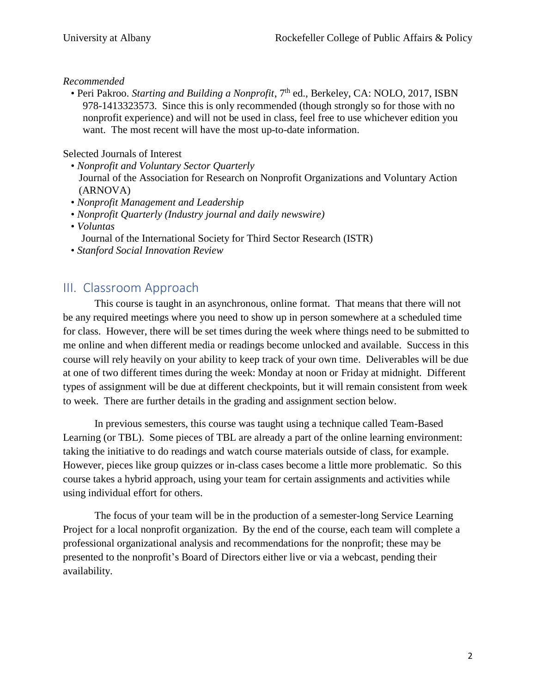#### *Recommended*

• Peri Pakroo. *Starting and Building a Nonprofit*, 7<sup>th</sup> ed., Berkeley, CA: NOLO, 2017, ISBN 978-1413323573. Since this is only recommended (though strongly so for those with no nonprofit experience) and will not be used in class, feel free to use whichever edition you want. The most recent will have the most up-to-date information.

#### Selected Journals of Interest

- *Nonprofit and Voluntary Sector Quarterly* Journal of the Association for Research on Nonprofit Organizations and Voluntary Action (ARNOVA)
- *Nonprofit Management and Leadership*
- *Nonprofit Quarterly (Industry journal and daily newswire)*
- *Voluntas*
	- Journal of the International Society for Third Sector Research (ISTR)
- *Stanford Social Innovation Review*

### III. Classroom Approach

This course is taught in an asynchronous, online format. That means that there will not be any required meetings where you need to show up in person somewhere at a scheduled time for class. However, there will be set times during the week where things need to be submitted to me online and when different media or readings become unlocked and available. Success in this course will rely heavily on your ability to keep track of your own time. Deliverables will be due at one of two different times during the week: Monday at noon or Friday at midnight. Different types of assignment will be due at different checkpoints, but it will remain consistent from week to week. There are further details in the grading and assignment section below.

In previous semesters, this course was taught using a technique called Team-Based Learning (or TBL). Some pieces of TBL are already a part of the online learning environment: taking the initiative to do readings and watch course materials outside of class, for example. However, pieces like group quizzes or in-class cases become a little more problematic. So this course takes a hybrid approach, using your team for certain assignments and activities while using individual effort for others.

The focus of your team will be in the production of a semester-long Service Learning Project for a local nonprofit organization. By the end of the course, each team will complete a professional organizational analysis and recommendations for the nonprofit; these may be presented to the nonprofit's Board of Directors either live or via a webcast, pending their availability.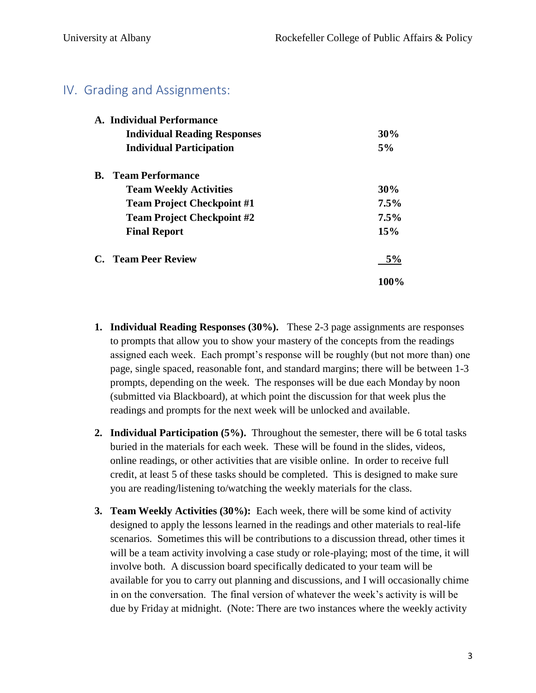## IV. Grading and Assignments:

|           | A. Individual Performance           |         |
|-----------|-------------------------------------|---------|
|           | <b>Individual Reading Responses</b> | 30%     |
|           | <b>Individual Participation</b>     | 5%      |
| <b>B.</b> | <b>Team Performance</b>             |         |
|           | <b>Team Weekly Activities</b>       | $30\%$  |
|           | <b>Team Project Checkpoint #1</b>   | $7.5\%$ |
|           | <b>Team Project Checkpoint #2</b>   | $7.5\%$ |
|           | <b>Final Report</b>                 | 15%     |
|           | C. Team Peer Review                 | 5%      |
|           |                                     | 100%    |

- **1. Individual Reading Responses (30%).** These 2-3 page assignments are responses to prompts that allow you to show your mastery of the concepts from the readings assigned each week. Each prompt's response will be roughly (but not more than) one page, single spaced, reasonable font, and standard margins; there will be between 1-3 prompts, depending on the week. The responses will be due each Monday by noon (submitted via Blackboard), at which point the discussion for that week plus the readings and prompts for the next week will be unlocked and available.
- **2. Individual Participation (5%).** Throughout the semester, there will be 6 total tasks buried in the materials for each week. These will be found in the slides, videos, online readings, or other activities that are visible online. In order to receive full credit, at least 5 of these tasks should be completed. This is designed to make sure you are reading/listening to/watching the weekly materials for the class.
- **3. Team Weekly Activities (30%):** Each week, there will be some kind of activity designed to apply the lessons learned in the readings and other materials to real-life scenarios. Sometimes this will be contributions to a discussion thread, other times it will be a team activity involving a case study or role-playing; most of the time, it will involve both. A discussion board specifically dedicated to your team will be available for you to carry out planning and discussions, and I will occasionally chime in on the conversation. The final version of whatever the week's activity is will be due by Friday at midnight. (Note: There are two instances where the weekly activity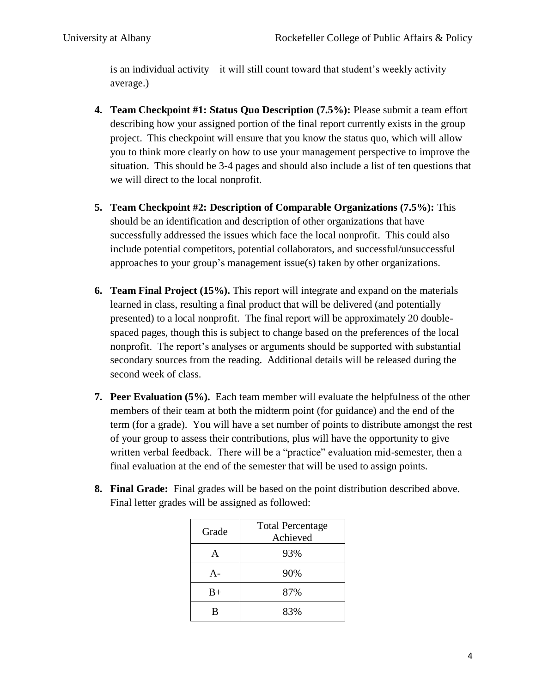is an individual activity – it will still count toward that student's weekly activity average.)

- **4. Team Checkpoint #1: Status Quo Description (7.5%):** Please submit a team effort describing how your assigned portion of the final report currently exists in the group project. This checkpoint will ensure that you know the status quo, which will allow you to think more clearly on how to use your management perspective to improve the situation. This should be 3-4 pages and should also include a list of ten questions that we will direct to the local nonprofit.
- **5. Team Checkpoint #2: Description of Comparable Organizations (7.5%):** This should be an identification and description of other organizations that have successfully addressed the issues which face the local nonprofit. This could also include potential competitors, potential collaborators, and successful/unsuccessful approaches to your group's management issue(s) taken by other organizations.
- **6. Team Final Project (15%).** This report will integrate and expand on the materials learned in class, resulting a final product that will be delivered (and potentially presented) to a local nonprofit. The final report will be approximately 20 doublespaced pages, though this is subject to change based on the preferences of the local nonprofit. The report's analyses or arguments should be supported with substantial secondary sources from the reading. Additional details will be released during the second week of class.
- **7. Peer Evaluation (5%).** Each team member will evaluate the helpfulness of the other members of their team at both the midterm point (for guidance) and the end of the term (for a grade). You will have a set number of points to distribute amongst the rest of your group to assess their contributions, plus will have the opportunity to give written verbal feedback. There will be a "practice" evaluation mid-semester, then a final evaluation at the end of the semester that will be used to assign points.
- **8. Final Grade:** Final grades will be based on the point distribution described above. Final letter grades will be assigned as followed:

| Grade | <b>Total Percentage</b><br>Achieved |
|-------|-------------------------------------|
|       | 93%                                 |
|       | 90%                                 |
| $B+$  | 87%                                 |
| R     | 83%                                 |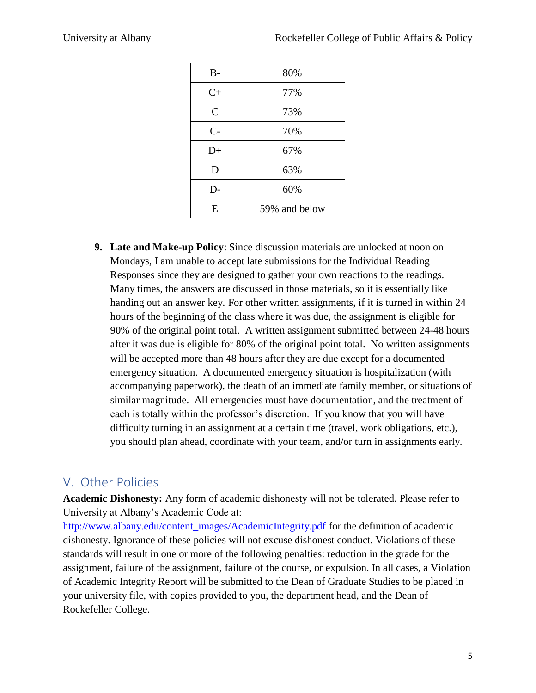| $B -$          | 80%           |
|----------------|---------------|
| $C+$           | 77%           |
| $\overline{C}$ | 73%           |
| $C-$           | 70%           |
| $D+$           | 67%           |
| D              | 63%           |
| D-             | 60%           |
| E              | 59% and below |
|                |               |

**9. Late and Make-up Policy**: Since discussion materials are unlocked at noon on Mondays, I am unable to accept late submissions for the Individual Reading Responses since they are designed to gather your own reactions to the readings. Many times, the answers are discussed in those materials, so it is essentially like handing out an answer key. For other written assignments, if it is turned in within 24 hours of the beginning of the class where it was due, the assignment is eligible for 90% of the original point total. A written assignment submitted between 24-48 hours after it was due is eligible for 80% of the original point total. No written assignments will be accepted more than 48 hours after they are due except for a documented emergency situation. A documented emergency situation is hospitalization (with accompanying paperwork), the death of an immediate family member, or situations of similar magnitude. All emergencies must have documentation, and the treatment of each is totally within the professor's discretion. If you know that you will have difficulty turning in an assignment at a certain time (travel, work obligations, etc.), you should plan ahead, coordinate with your team, and/or turn in assignments early.

## V. Other Policies

**Academic Dishonesty:** Any form of academic dishonesty will not be tolerated. Please refer to University at Albany's Academic Code at:

[http://www.albany.edu/content\\_images/AcademicIntegrity.pdf](http://www.albany.edu/content_images/AcademicIntegrity.pdf) for the definition of academic dishonesty. Ignorance of these policies will not excuse dishonest conduct. Violations of these standards will result in one or more of the following penalties: reduction in the grade for the assignment, failure of the assignment, failure of the course, or expulsion. In all cases, a Violation of Academic Integrity Report will be submitted to the Dean of Graduate Studies to be placed in your university file, with copies provided to you, the department head, and the Dean of Rockefeller College.